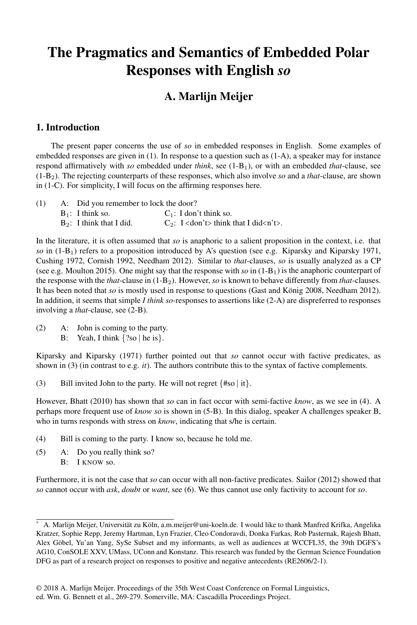## The Pragmatics and Semantics of Embedded Polar Responses with English *so*

### A. Marlijn Meijer

#### 1. Introduction

The present paper concerns the use of *so* in embedded responses in English. Some examples of embedded responses are given in (1). In response to a question such as (1-A), a speaker may for instance respond affirmatively with *so* embedded under *think*, see (1-B1), or with an embedded *that*-clause, see (1-B2). The rejecting counterparts of these responses, which also involve *so* and a *that*-clause, are shown in (1-C). For simplicity, I will focus on the affirming responses here.

| (1) | A: Did you remember to lock the door? |                                                        |
|-----|---------------------------------------|--------------------------------------------------------|
|     | $B_1$ : I think so.                   | $C_1$ : I don't think so.                              |
|     | $B_2$ : I think that I did.           | $C_2$ : I <don't> think that I did<n't>.</n't></don't> |

In the literature, it is often assumed that *so* is anaphoric to a salient proposition in the context, i.e. that *so* in (1-B1) refers to a proposition introduced by A's question (see e.g. Kiparsky and Kiparsky 1971, Cushing 1972, Cornish 1992, Needham 2012). Similar to *that*-clauses, *so* is usually analyzed as a CP (see e.g. Moulton 2015). One might say that the response with  $so$  in  $(1-B_1)$  is the anaphoric counterpart of the response with the *that*-clause in (1-B2). However, *so* is known to behave differently from *that*-clauses. It has been noted that *so* is mostly used in response to questions (Gast and König 2008, Needham 2012). In addition, it seems that simple *I think so*-responses to assertions like (2-A) are dispreferred to responses involving a *that*-clause, see (2-B).

(2) A: John is coming to the party. B: Yeah, I think {?so ∣ he is}.

Kiparsky and Kiparsky (1971) further pointed out that *so* cannot occur with factive predicates, as shown in (3) (in contrast to e.g. *it*). The authors contribute this to the syntax of factive complements.

(3) Bill invited John to the party. He will not regret {#so ∣ it}.

However, Bhatt (2010) has shown that *so* can in fact occur with semi-factive *know*, as we see in (4). A perhaps more frequent use of *know so* is shown in (5-B). In this dialog, speaker A challenges speaker B, who in turns responds with stress on *know*, indicating that s/he is certain.

- (4) Bill is coming to the party. I know so, because he told me.
- (5) A: Do you really think so? B: I KNOW so.

Furthermore, it is not the case that *so* can occur with all non-factive predicates. Sailor (2012) showed that *so* cannot occur with *ask*, *doubt* or *want*, see (6). We thus cannot use only factivity to account for *so*.

A. Marlijn Meijer, Universität zu Köln, a.m.meijer@uni-koeln.de. I would like to thank Manfred Krifka, Angelika Kratzer, Sophie Repp, Jeremy Hartman, Lyn Frazier, Cleo Condoravdi, Donka Farkas, Rob Pasternak, Rajesh Bhatt, Alex Göbel, Yu'an Yang, SySe Subset and my informants, as well as audiences at WCCFL35, the 39th DGFS's AG10, ConSOLE XXV, UMass, UConn and Konstanz. This research was funded by the German Science Foundation DFG as part of a research project on responses to positive and negative antecedents (RE2606/2-1).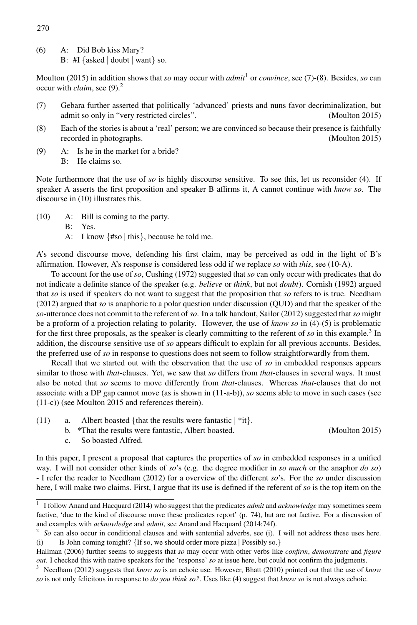(6) A: Did Bob kiss Mary? B: #I {asked ∣ doubt ∣ want} so.

Moulton (2015) in addition shows that *so* may occur with *admit*<sup>1</sup> or *convince*, see (7)-(8). Besides, *so* can occur with *claim*, see (9).2

- (7) Gebara further asserted that politically 'advanced' priests and nuns favor decriminalization, but admit so only in "very restricted circles". (Moulton 2015)
- (8) Each of the stories is about a 'real' person; we are convinced so because their presence is faithfully recorded in photographs. (Moulton 2015)
- (9) A: Is he in the market for a bride? B: He claims so.

Note furthermore that the use of *so* is highly discourse sensitive. To see this, let us reconsider (4). If speaker A asserts the first proposition and speaker B affirms it, A cannot continue with *know so*. The discourse in (10) illustrates this.

- (10) A: Bill is coming to the party.
	- B: Yes.
	- A: I know {#so ∣ this}, because he told me.

A's second discourse move, defending his first claim, may be perceived as odd in the light of B's affirmation. However, A's response is considered less odd if we replace *so* with *this*, see (10-A).

To account for the use of *so*, Cushing (1972) suggested that *so* can only occur with predicates that do not indicate a definite stance of the speaker (e.g. *believe* or *think*, but not *doubt*). Cornish (1992) argued that *so* is used if speakers do not want to suggest that the proposition that *so* refers to is true. Needham (2012) argued that *so* is anaphoric to a polar question under discussion (QUD) and that the speaker of the *so*-utterance does not commit to the referent of *so*. In a talk handout, Sailor (2012) suggested that *so* might be a proform of a projection relating to polarity. However, the use of *know so* in (4)-(5) is problematic for the first three proposals, as the speaker is clearly committing to the referent of *so* in this example.3 In addition, the discourse sensitive use of *so* appears difficult to explain for all previous accounts. Besides, the preferred use of *so* in response to questions does not seem to follow straightforwardly from them.

Recall that we started out with the observation that the use of *so* in embedded responses appears similar to those with *that*-clauses. Yet, we saw that *so* differs from *that*-clauses in several ways. It must also be noted that *so* seems to move differently from *that*-clauses. Whereas *that*-clauses that do not associate with a DP gap cannot move (as is shown in (11-a-b)), *so* seems able to move in such cases (see (11-c)) (see Moulton 2015 and references therein).

- (11) a. Albert boasted {that the results were fantastic ∣ \*it}.
	- b. \*That the results were fantastic, Albert boasted. (Moulton 2015)
	- c. So boasted Alfred.

In this paper, I present a proposal that captures the properties of *so* in embedded responses in a unified way. I will not consider other kinds of *so*'s (e.g. the degree modifier in *so much* or the anaphor *do so*) - I refer the reader to Needham (2012) for a overview of the different *so*'s. For the *so* under discussion here, I will make two claims. First, I argue that its use is defined if the referent of *so* is the top item on the

270

<sup>1</sup> I follow Anand and Hacquard (2014) who suggest that the predicates *admit* and *acknowledge* may sometimes seem factive, 'due to the kind of discourse move these predicates report' (p. 74), but are not factive. For a discussion of and examples with *acknowledge* and *admit*, see Anand and Hacquard (2014:74f).

<sup>2</sup> *So* can also occur in conditional clauses and with sentential adverbs, see (i). I will not address these uses here. (i) Is John coming tonight? {If so, we should order more pizza ∣ Possibly so.}

Hallman (2006) further seems to suggests that *so* may occur with other verbs like *confirm*, *demonstrate* and *figure out*. I checked this with native speakers for the 'response' *so* at issue here, but could not confirm the judgments.

<sup>3</sup> Needham (2012) suggests that *know so* is an echoic use. However, Bhatt (2010) pointed out that the use of *know so* is not only felicitous in response to *do you think so?*. Uses like (4) suggest that *know so* is not always echoic.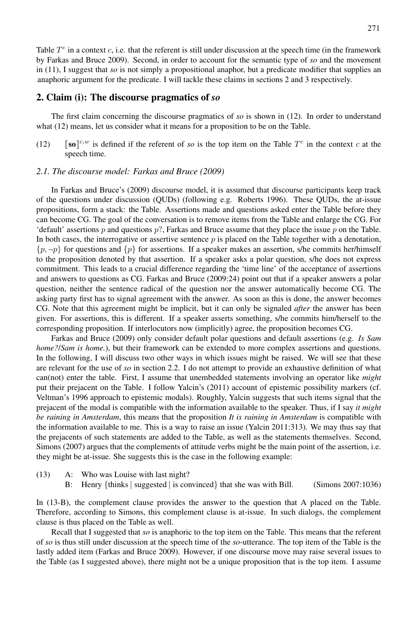Table  $T<sup>c</sup>$  in a context c, i.e. that the referent is still under discussion at the speech time (in the framework by Farkas and Bruce 2009). Second, in order to account for the semantic type of *so* and the movement in (11), I suggest that *so* is not simply a propositional anaphor, but a predicate modifier that supplies an anaphoric argument for the predicate. I will tackle these claims in sections 2 and 3 respectively.

#### 2. Claim (i): The discourse pragmatics of *so*

The first claim concerning the discourse pragmatics of *so* is shown in (12). In order to understand what (12) means, let us consider what it means for a proposition to be on the Table.

(12)  $\left[\text{so}\right]^{c,w}$  is defined if the referent of *so* is the top item on the Table  $T^c$  in the context c at the speech time.

#### *2.1. The discourse model: Farkas and Bruce (2009)*

In Farkas and Bruce's (2009) discourse model, it is assumed that discourse participants keep track of the questions under discussion (QUDs) (following e.g. Roberts 1996). These QUDs, the at-issue propositions, form a stack: the Table. Assertions made and questions asked enter the Table before they can become CG. The goal of the conversation is to remove items from the Table and enlarge the CG. For 'default' assertions  $p$  and questions  $p$ ?, Farkas and Bruce assume that they place the issue  $p$  on the Table. In both cases, the interrogative or assertive sentence  $p$  is placed on the Table together with a denotation,  $\{p, \neg p\}$  for questions and  $\{p\}$  for assertions. If a speaker makes an assertion, s/he commits her/himself to the proposition denoted by that assertion. If a speaker asks a polar question, s/he does not express commitment. This leads to a crucial difference regarding the 'time line' of the acceptance of assertions and answers to questions as CG. Farkas and Bruce (2009:24) point out that if a speaker answers a polar question, neither the sentence radical of the question nor the answer automatically become CG. The asking party first has to signal agreement with the answer. As soon as this is done, the answer becomes CG. Note that this agreement might be implicit, but it can only be signaled *after* the answer has been given. For assertions, this is different. If a speaker asserts something, s/he commits him/herself to the corresponding proposition. If interlocutors now (implicitly) agree, the proposition becomes CG.

Farkas and Bruce (2009) only consider default polar questions and default assertions (e.g. *Is Sam home?/Sam is home.*), but their framework can be extended to more complex assertions and questions. In the following, I will discuss two other ways in which issues might be raised. We will see that these are relevant for the use of *so* in section 2.2. I do not attempt to provide an exhaustive definition of what can(not) enter the table. First, I assume that unembedded statements involving an operator like *might* put their prejacent on the Table. I follow Yalcin's (2011) account of epistemic possibility markers (cf. Veltman's 1996 approach to epistemic modals). Roughly, Yalcin suggests that such items signal that the prejacent of the modal is compatible with the information available to the speaker. Thus, if I say *it might be raining in Amsterdam*, this means that the proposition *It is raining in Amsterdam* is compatible with the information available to me. This is a way to raise an issue (Yalcin 2011:313). We may thus say that the prejacents of such statements are added to the Table, as well as the statements themselves. Second, Simons (2007) argues that the complements of attitude verbs might be the main point of the assertion, i.e. they might be at-issue. She suggests this is the case in the following example:

- (13) A: Who was Louise with last night?
	- B: Henry {thinks ∣ suggested ∣ is convinced} that she was with Bill. (Simons 2007:1036)

In (13-B), the complement clause provides the answer to the question that A placed on the Table. Therefore, according to Simons, this complement clause is at-issue. In such dialogs, the complement clause is thus placed on the Table as well.

Recall that I suggested that *so* is anaphoric to the top item on the Table. This means that the referent of *so* is thus still under discussion at the speech time of the *so*-utterance. The top item of the Table is the lastly added item (Farkas and Bruce 2009). However, if one discourse move may raise several issues to the Table (as I suggested above), there might not be a unique proposition that is the top item. I assume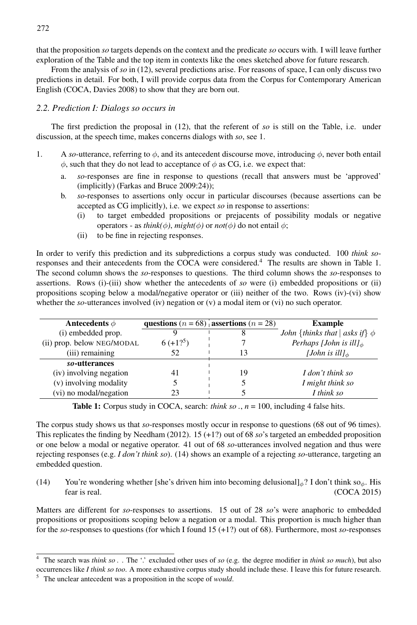that the proposition *so* targets depends on the context and the predicate *so* occurs with. I will leave further exploration of the Table and the top item in contexts like the ones sketched above for future research.

From the analysis of *so* in (12), several predictions arise. For reasons of space, I can only discuss two predictions in detail. For both, I will provide corpus data from the Corpus for Contemporary American English (COCA, Davies 2008) to show that they are born out.

#### *2.2. Prediction I: Dialogs so occurs in*

The first prediction the proposal in (12), that the referent of *so* is still on the Table, i.e. under discussion, at the speech time, makes concerns dialogs with *so*, see 1.

- 1. A *so*-utterance, referring to  $\phi$ , and its antecedent discourse move, introducing  $\phi$ , never both entail  $\phi$ , such that they do not lead to acceptance of  $\phi$  as CG, i.e. we expect that:
	- a. *so*-responses are fine in response to questions (recall that answers must be 'approved' (implicitly) (Farkas and Bruce 2009:24));
	- b. *so*-responses to assertions only occur in particular discourses (because assertions can be accepted as CG implicitly), i.e. we expect *so* in response to assertions:
		- (i) to target embedded propositions or prejacents of possibility modals or negative operators - as *think(* $\phi$ *)*, *might(* $\phi$ *)* or *not(* $\phi$ *)* do not entail  $\phi$ ;
		- (ii) to be fine in rejecting responses.

In order to verify this prediction and its subpredictions a corpus study was conducted. 100 *think so*responses and their antecedents from the COCA were considered.4 The results are shown in Table 1. The second column shows the *so*-responses to questions. The third column shows the *so*-responses to assertions. Rows (i)-(iii) show whether the antecedents of *so* were (i) embedded propositions or (ii) propositions scoping below a modal/negative operator or (iii) neither of the two. Rows (iv)-(vi) show whether the *so*-utterances involved (iv) negation or (v) a modal item or (vi) no such operator.

| Antecedents $\phi$         |                        | questions ( $n = 68$ ) assertions ( $n = 28$ ) | <b>Example</b>                                             |
|----------------------------|------------------------|------------------------------------------------|------------------------------------------------------------|
| (i) embedded prop.         |                        |                                                | <i>John</i> { <i>thinks that</i>   <i>asks if</i> } $\phi$ |
| (ii) prop. below NEG/MODAL | $6(+1)$ <sup>5</sup> ) |                                                | Perhaps [John is ill] $_{\phi}$                            |
| (iii) remaining            | 52                     |                                                | [John is ill] $_{\phi}$                                    |
| so-utterances              |                        |                                                |                                                            |
| (iv) involving negation    | 41                     | 19                                             | I don't think so                                           |
| (v) involving modality     |                        |                                                | I might think so                                           |
| (vi) no modal/negation     | 23                     |                                                | I think so                                                 |

**Table 1:** Corpus study in COCA, search: *think so* .,  $n = 100$ , including 4 false hits.

The corpus study shows us that *so*-responses mostly occur in response to questions (68 out of 96 times). This replicates the finding by Needham (2012). 15 (+1?) out of 68 *so*'s targeted an embedded proposition or one below a modal or negative operator. 41 out of 68 *so*-utterances involved negation and thus were rejecting responses (e.g. *I don't think so*). (14) shows an example of a rejecting *so*-utterance, targeting an embedded question.

(14) You're wondering whether [she's driven him into becoming delusional] $_{\phi}$ ? I don't think so<sub> $\phi$ </sub>. His fear is real. (COCA 2015)

Matters are different for *so*-responses to assertions. 15 out of 28 *so*'s were anaphoric to embedded propositions or propositions scoping below a negation or a modal. This proportion is much higher than for the *so*-responses to questions (for which I found 15 (+1?) out of 68). Furthermore, most *so*-responses

<sup>4</sup> The search was *think so .* . The '.' excluded other uses of *so* (e.g. the degree modifier in *think so much*), but also occurrences like *I think so too*. A more exhaustive corpus study should include these. I leave this for future research.

<sup>5</sup> The unclear antecedent was a proposition in the scope of *would*.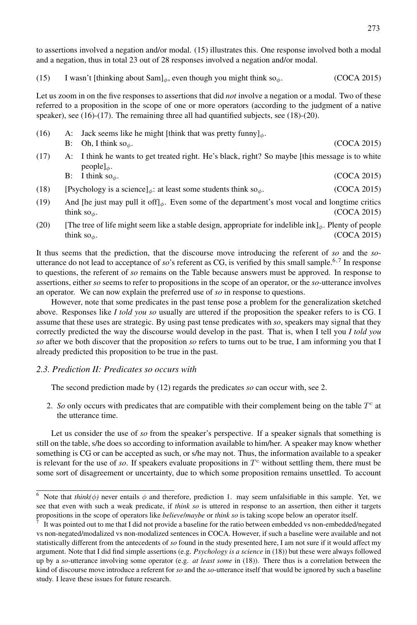to assertions involved a negation and/or modal. (15) illustrates this. One response involved both a modal and a negation, thus in total 23 out of 28 responses involved a negation and/or modal.

(15) I wasn't [thinking about Sam]<sub>φ</sub>, even though you might think so<sub>φ</sub>. (COCA 2015)

Let us zoom in on the five responses to assertions that did *not* involve a negation or a modal. Two of these referred to a proposition in the scope of one or more operators (according to the judgment of a native speaker), see (16)-(17). The remaining three all had quantified subjects, see (18)-(20).

- (16) A: Jack seems like he might [think that was pretty funny]<sub>φ</sub>. B: Oh, I think so<sub>φ</sub>.  $(COCA 2015)$ (17) A: I think he wants to get treated right. He's black, right? So maybe [this message is to white
- $people]_{\phi}$ . B: I think so<sub>φ</sub>. (COCA 2015)
- (18) [Psychology is a science]<sub>φ</sub>: at least some students think so<sub>φ</sub>. (COCA 2015)
- (19) And [he just may pull it off]<sub> $\phi$ </sub>. Even some of the department's most vocal and longtime critics think so<sub>φ</sub>. (COCA 2015)
- (20) [The tree of life might seem like a stable design, appropriate for indelible ink]<sub>φ</sub>. Plenty of people think so<sub>φ</sub>. (COCA 2015)

It thus seems that the prediction, that the discourse move introducing the referent of *so* and the *so*utterance do not lead to acceptance of *so*'s referent as CG, is verified by this small sample.<sup>6,7</sup> In response to questions, the referent of *so* remains on the Table because answers must be approved. In response to assertions, either *so* seems to refer to propositions in the scope of an operator, or the *so*-utterance involves an operator. We can now explain the preferred use of *so* in response to questions.

However, note that some predicates in the past tense pose a problem for the generalization sketched above. Responses like *I told you so* usually are uttered if the proposition the speaker refers to is CG. I assume that these uses are strategic. By using past tense predicates with *so*, speakers may signal that they correctly predicted the way the discourse would develop in the past. That is, when I tell you *I told you so* after we both discover that the proposition *so* refers to turns out to be true, I am informing you that I already predicted this proposition to be true in the past.

#### *2.3. Prediction II: Predicates so occurs with*

The second prediction made by (12) regards the predicates *so* can occur with, see 2.

2. *So* only occurs with predicates that are compatible with their complement being on the table  $T<sup>c</sup>$  at the utterance time.

Let us consider the use of *so* from the speaker's perspective. If a speaker signals that something is still on the table, s/he does so according to information available to him/her. A speaker may know whether something is CG or can be accepted as such, or s/he may not. Thus, the information available to a speaker is relevant for the use of *so*. If speakers evaluate propositions in  $T<sup>c</sup>$  without settling them, there must be some sort of disagreement or uncertainty, due to which some proposition remains unsettled. To account

<sup>&</sup>lt;sup>6</sup> Note that *think*( $\phi$ ) never entails  $\phi$  and therefore, prediction 1. may seem unfalsifiable in this sample. Yet, we see that even with such a weak predicate, if *think so* is uttered in response to an assertion, then either it targets propositions in the scope of operators like *believe*/*maybe* or *think so* is taking scope below an operator itself.

It was pointed out to me that I did not provide a baseline for the ratio between embedded vs non-embedded/negated vs non-negated/modalized vs non-modalized sentences in COCA. However, if such a baseline were available and not statistically different from the antecedents of *so* found in the study presented here, I am not sure if it would affect my argument. Note that I did find simple assertions (e.g. *Psychology is a science* in (18)) but these were always followed up by a *so*-utterance involving some operator (e.g. *at least some* in (18)). There thus is a correlation between the kind of discourse move introduce a referent for *so* and the *so*-utterance itself that would be ignored by such a baseline study. I leave these issues for future research.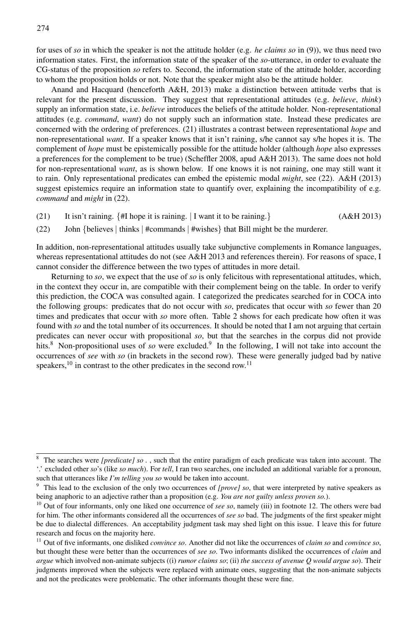for uses of *so* in which the speaker is not the attitude holder (e.g. *he claims so* in (9)), we thus need two information states. First, the information state of the speaker of the *so*-utterance, in order to evaluate the CG-status of the proposition *so* refers to. Second, the information state of the attitude holder, according to whom the proposition holds or not. Note that the speaker might also be the attitude holder.

Anand and Hacquard (henceforth A&H, 2013) make a distinction between attitude verbs that is relevant for the present discussion. They suggest that representational attitudes (e.g. *believe*, *think*) supply an information state, i.e. *believe* introduces the beliefs of the attitude holder. Non-representational attitudes (e.g. *command*, *want*) do not supply such an information state. Instead these predicates are concerned with the ordering of preferences. (21) illustrates a contrast between representational *hope* and non-representational *want*. If a speaker knows that it isn't raining, s/he cannot say s/he hopes it is. The complement of *hope* must be epistemically possible for the attitude holder (although *hope* also expresses a preferences for the complement to be true) (Scheffler 2008, apud A&H 2013). The same does not hold for non-representational *want*, as is shown below. If one knows it is not raining, one may still want it to rain. Only representational predicates can embed the epistemic modal *might*, see (22). A&H (2013) suggest epistemics require an information state to quantify over, explaining the incompatibility of e.g. *command* and *might* in (22).

- (21) It isn't raining. {#I hope it is raining. ∣ I want it to be raining.} (A&H 2013)
- (22) John {believes ∣ thinks ∣ #commands ∣ #wishes} that Bill might be the murderer.

In addition, non-representational attitudes usually take subjunctive complements in Romance languages, whereas representational attitudes do not (see A&H 2013 and references therein). For reasons of space, I cannot consider the difference between the two types of attitudes in more detail.

Returning to *so*, we expect that the use of *so* is only felicitous with representational attitudes, which, in the context they occur in, are compatible with their complement being on the table. In order to verify this prediction, the COCA was consulted again. I categorized the predicates searched for in COCA into the following groups: predicates that do not occur with *so*, predicates that occur with *so* fewer than 20 times and predicates that occur with *so* more often. Table 2 shows for each predicate how often it was found with *so* and the total number of its occurrences. It should be noted that I am not arguing that certain predicates can never occur with propositional *so*, but that the searches in the corpus did not provide hits.<sup>8</sup> Non-propositional uses of *so* were excluded.<sup>9</sup> In the following, I will not take into account the occurrences of *see* with *so* (in brackets in the second row). These were generally judged bad by native speakers,  $^{10}$  in contrast to the other predicates in the second row.<sup>11</sup>

<sup>8</sup> The searches were *[predicate] so .* , such that the entire paradigm of each predicate was taken into account. The '.' excluded other *so*'s (like *so much*). For *tell*, I ran two searches, one included an additional variable for a pronoun, such that utterances like *I'm telling you so* would be taken into account.

<sup>9</sup> This lead to the exclusion of the only two occurrences of *[prove] so*, that were interpreted by native speakers as being anaphoric to an adjective rather than a proposition (e.g. *You are not guilty unless proven so.*).

<sup>&</sup>lt;sup>10</sup> Out of four informants, only one liked one occurrence of *see so*, namely (iii) in footnote 12. The others were bad for him. The other informants considered all the occurrences of *see so* bad. The judgments of the first speaker might be due to dialectal differences. An acceptability judgment task may shed light on this issue. I leave this for future research and focus on the majority here.

<sup>11</sup> Out of five informants, one disliked *convince so*. Another did not like the occurrences of *claim so* and *convince so*, but thought these were better than the occurrences of *see so*. Two informants disliked the occurrences of *claim* and *argue* which involved non-animate subjects ((i) *rumor claims so*; (ii) *the success of avenue Q would argue so*). Their judgments improved when the subjects were replaced with animate ones, suggesting that the non-animate subjects and not the predicates were problematic. The other informants thought these were fine.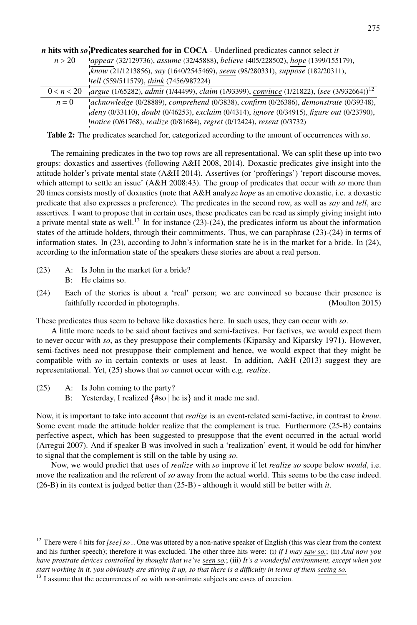*n* hits with *so*<sup>*P*</sup>redicates searched for in COCA - Underlined predicates cannot select *it* 

| n > 20     | appear (32/129736), assume (32/45888), believe (405/228502), hope (1399/155179),                      |  |
|------------|-------------------------------------------------------------------------------------------------------|--|
|            | know (21/1213856), say (1640/2545469), seem (98/280331), suppose (182/20311),                         |  |
|            | tell (559/511579), think (7456/987224)                                                                |  |
| 0 < n < 20 | argue (1/65282), admit (1/44499), claim (1/93399), convince (1/21822), (see (3/932664)) <sup>12</sup> |  |
| $n=0$      | acknowledge (0/28889), comprehend (0/3838), confirm (0/26386), demonstrate (0/39348),                 |  |
|            | deny (0/33110), doubt (0/46253), exclaim (0/4314), ignore (0/34915), figure out (0/23790),            |  |
|            | notice (0/61768), realize (0/81684), regret (0/12424), resent (0/3732)                                |  |

Table 2: The predicates searched for, categorized according to the amount of occurrences with *so*.

The remaining predicates in the two top rows are all representational. We can split these up into two groups: doxastics and assertives (following A&H 2008, 2014). Doxastic predicates give insight into the attitude holder's private mental state (A&H 2014). Assertives (or 'profferings') 'report discourse moves, which attempt to settle an issue' (A&H 2008:43). The group of predicates that occur with *so* more than 20 times consists mostly of doxastics (note that A&H analyze *hope* as an emotive doxastic, i.e. a doxastic predicate that also expresses a preference). The predicates in the second row, as well as *say* and *tell*, are assertives. I want to propose that in certain uses, these predicates can be read as simply giving insight into a private mental state as well.<sup>13</sup> In for instance (23)-(24), the predicates inform us about the information states of the attitude holders, through their commitments. Thus, we can paraphrase (23)-(24) in terms of information states. In (23), according to John's information state he is in the market for a bride. In (24), according to the information state of the speakers these stories are about a real person.

- (23) A: Is John in the market for a bride? B: He claims so.
- (24) Each of the stories is about a 'real' person; we are convinced so because their presence is faithfully recorded in photographs. (Moulton 2015)

These predicates thus seem to behave like doxastics here. In such uses, they can occur with *so*.

A little more needs to be said about factives and semi-factives. For factives, we would expect them to never occur with *so*, as they presuppose their complements (Kiparsky and Kiparsky 1971). However, semi-factives need not presuppose their complement and hence, we would expect that they might be compatible with *so* in certain contexts or uses at least. In addition, A&H (2013) suggest they are representational. Yet, (25) shows that *so* cannot occur with e.g. *realize*.

- (25) A: Is John coming to the party?
	- B: Yesterday, I realized {#so ∣ he is} and it made me sad.

Now, it is important to take into account that *realize* is an event-related semi-factive, in contrast to *know*. Some event made the attitude holder realize that the complement is true. Furthermore (25-B) contains perfective aspect, which has been suggested to presuppose that the event occurred in the actual world (Arregui 2007). And if speaker B was involved in such a 'realization' event, it would be odd for him/her to signal that the complement is still on the table by using *so*.

Now, we would predict that uses of *realize* with *so* improve if let *realize so* scope below *would*, i.e. move the realization and the referent of *so* away from the actual world. This seems to be the case indeed. (26-B) in its context is judged better than (25-B) - although it would still be better with *it*.

 $\frac{12}{12}$  There were 4 hits for *[see] so* .. One was uttered by a non-native speaker of English (this was clear from the context and his further speech); therefore it was excluded. The other three hits were: (i) *if I may saw so.*; (ii) *And now you have prostrate devices controlled by thought that we've seen so.*; (iii) *It's a wonderful environment, except when you start working in it, you obviously are stirring it up, so that there is a difficulty in terms of them seeing so.*

<sup>&</sup>lt;sup>13</sup> I assume that the occurrences of *so* with non-animate subjects are cases of coercion.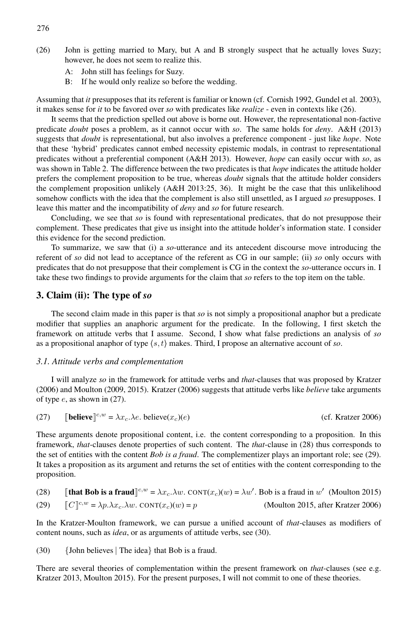- (26) John is getting married to Mary, but A and B strongly suspect that he actually loves Suzy; however, he does not seem to realize this.
	- A: John still has feelings for Suzy.
	- B: If he would only realize so before the wedding.

Assuming that *it* presupposes that its referent is familiar or known (cf. Cornish 1992, Gundel et al. 2003), it makes sense for *it* to be favored over *so* with predicates like *realize* - even in contexts like (26).

It seems that the prediction spelled out above is borne out. However, the representational non-factive predicate *doubt* poses a problem, as it cannot occur with *so*. The same holds for *deny*. A&H (2013) suggests that *doubt* is representational, but also involves a preference component - just like *hope*. Note that these 'hybrid' predicates cannot embed necessity epistemic modals, in contrast to representational predicates without a preferential component (A&H 2013). However, *hope* can easily occur with *so*, as was shown in Table 2. The difference between the two predicates is that *hope* indicates the attitude holder prefers the complement proposition to be true, whereas *doubt* signals that the attitude holder considers the complement proposition unlikely (A&H 2013:25, 36). It might be the case that this unlikelihood somehow conflicts with the idea that the complement is also still unsettled, as I argued *so* presupposes. I leave this matter and the incompatibility of *deny* and *so* for future research.

Concluding, we see that *so* is found with representational predicates, that do not presuppose their complement. These predicates that give us insight into the attitude holder's information state. I consider this evidence for the second prediction.

To summarize, we saw that (i) a *so*-utterance and its antecedent discourse move introducing the referent of *so* did not lead to acceptance of the referent as CG in our sample; (ii) *so* only occurs with predicates that do not presuppose that their complement is CG in the context the *so*-utterance occurs in. I take these two findings to provide arguments for the claim that *so* refers to the top item on the table.

#### 3. Claim (ii): The type of *so*

The second claim made in this paper is that *so* is not simply a propositional anaphor but a predicate modifier that supplies an anaphoric argument for the predicate. In the following, I first sketch the framework on attitude verbs that I assume. Second, I show what false predictions an analysis of *so* as a propositional anaphor of type  $\langle s, t \rangle$  makes. Third, I propose an alternative account of *so*.

#### *3.1. Attitude verbs and complementation*

I will analyze *so* in the framework for attitude verbs and *that*-clauses that was proposed by Kratzer (2006) and Moulton (2009, 2015). Kratzer (2006) suggests that attitude verbs like *believe* take arguments of type  $e$ , as shown in  $(27)$ .

(27) **[believe]**<sup>c,w</sup> = 
$$
\lambda x_c \cdot \lambda e
$$
. **believe** $(x_c)(e)$  (cf. Kratzer 2006)

These arguments denote propositional content, i.e. the content corresponding to a proposition. In this framework, *that*-clauses denote properties of such content. The *that*-clause in (28) thus corresponds to the set of entities with the content *Bob is a fraud*. The complementizer plays an important role; see (29). It takes a proposition as its argument and returns the set of entities with the content corresponding to the proposition.

(28) **[that Bob is a fraud**]<sup>c,w</sup> =  $\lambda x_c \cdot \lambda w$ . CONT $(x_c)(w) = \lambda w'$ . Bob is a fraud in w' (Moulton 2015)

(29) 
$$
\[C\]^{c,w} = \lambda p. \lambda x_c. \lambda w. \quad \text{CONT}(x_c)(w) = p \tag{Moulton 2015, after Kratzer 2006}
$$

In the Kratzer-Moulton framework, we can pursue a unified account of *that*-clauses as modifiers of content nouns, such as *idea*, or as arguments of attitude verbs, see (30).

(30) {John believes ∣ The idea} that Bob is a fraud.

There are several theories of complementation within the present framework on *that*-clauses (see e.g. Kratzer 2013, Moulton 2015). For the present purposes, I will not commit to one of these theories.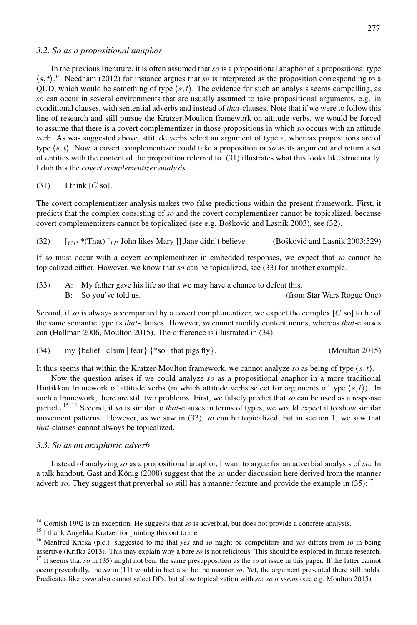#### *3.2. So as a propositional anaphor*

In the previous literature, it is often assumed that *so* is a propositional anaphor of a propositional type ⟨s, t⟩. <sup>14</sup> Needham (2012) for instance argues that *so* is interpreted as the proposition corresponding to a QUD, which would be something of type  $(s, t)$ . The evidence for such an analysis seems compelling, as *so* can occur in several environments that are usually assumed to take propositional arguments, e.g. in conditional clauses, with sentential adverbs and instead of *that*-clauses. Note that if we were to follow this line of research and still pursue the Kratzer-Moulton framework on attitude verbs, we would be forced to assume that there is a covert complementizer in those propositions in which *so* occurs with an attitude verb. As was suggested above, attitude verbs select an argument of type  $e$ , whereas propositions are of type  $(s, t)$ . Now, a covert complementizer could take a proposition or *so* as its argument and return a set of entities with the content of the proposition referred to. (31) illustrates what this looks like structurally. I dub this the *covert complementizer analysis*.

 $(31)$  I think  $[C \text{ so}]$ .

The covert complementizer analysis makes two false predictions within the present framework. First, it predicts that the complex consisting of *so* and the covert complementizer cannot be topicalized, because covert complementizers cannot be topicalized (see e.g. Bošković and Lasnik 2003), see  $(32)$ .

(32)  $\left[CP * (That) \right]$   $\left[IP \right]$  John likes Mary | Jane didn't believe. (Bošković and Lasnik 2003:529)

If *so* must occur with a covert complementizer in embedded responses, we expect that *so* cannot be topicalized either. However, we know that *so* can be topicalized, see (33) for another example.

(33) A: My father gave his life so that we may have a chance to defeat this. B: So you've told us. (from Star Wars Rogue One)

Second, if *so* is always accompanied by a covert complementizer, we expect the complex [C so] to be of the same semantic type as *that*-clauses. However, *so* cannot modify content nouns, whereas *that*-clauses can (Hallman 2006, Moulton 2015). The difference is illustrated in (34).

$$
(34) \qquad \text{my } \{ \text{belief} \mid \text{claim} \mid \text{fear} \} \{ *so \mid \text{that pigs fly} \}. \tag{Moulton 2015}
$$

It thus seems that within the Kratzer-Moulton framework, we cannot analyze *so* as being of type ⟨s, t⟩.

Now the question arises if we could analyze *so* as a propositional anaphor in a more traditional Hintikkan framework of attitude verbs (in which attitude verbs select for arguments of type  $(s, t)$ ). In such a framework, there are still two problems. First, we falsely predict that *so* can be used as a response particle.15,<sup>16</sup> Second, if *so* is similar to *that*-clauses in terms of types, we would expect it to show similar movement patterns. However, as we saw in (33), *so* can be topicalized, but in section 1, we saw that *that*-clauses cannot always be topicalized.

#### *3.3. So as an anaphoric adverb*

Instead of analyzing *so* as a propositional anaphor, I want to argue for an adverbial analysis of *so*. In a talk handout, Gast and König (2008) suggest that the so under discussion here derived from the manner adverb *so*. They suggest that preverbal *so* still has a manner feature and provide the example in (35):17

<sup>&</sup>lt;sup>14</sup> Cornish 1992 is an exception. He suggests that *so* is adverbial, but does not provide a concrete analysis.

<sup>&</sup>lt;sup>15</sup> I thank Angelika Kratzer for pointing this out to me.

<sup>16</sup> Manfred Krifka (p.c.) suggested to me that *yes* and *so* might be competitors and *yes* differs from *so* in being assertive (Krifka 2013). This may explain why a bare *so* is not felicitous. This should be explored in future research.

<sup>&</sup>lt;sup>17</sup> It seems that *so* in (35) might not bear the same presupposition as the *so* at issue in this paper. If the latter cannot occur preverbally, the *so* in (11) would in fact also be the manner *so*. Yet, the argument presented there still holds. Predicates like *seem* also cannot select DPs, but allow topicalization with *so*: *so it seems* (see e.g. Moulton 2015).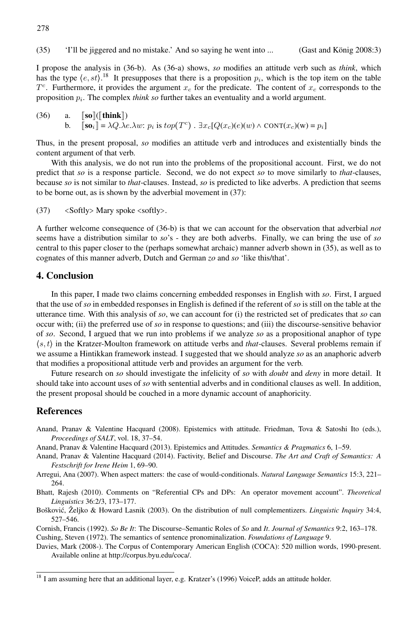I propose the analysis in (36-b). As (36-a) shows, *so* modifies an attitude verb such as *think*, which has the type  $\langle e, st \rangle$ .<sup>18</sup> It presupposes that there is a proposition  $p_i$ , which is the top item on the table  $T<sup>c</sup>$ . Furthermore, it provides the argument  $x_c$  for the predicate. The content of  $x_c$  corresponds to the proposition  $p_i$ . The complex *think so* further takes an eventuality and a world argument.

(36) a. 
$$
\llbracket \textbf{so} \rrbracket(\llbracket \textbf{think} \rrbracket)
$$
  
b.  $\llbracket \textbf{so}_i \rrbracket = \lambda Q. \lambda e. \lambda w$ :  $p_i$  is  $top(T^c)$ .  $\exists x_c [Q(x_c)(e)(w) \land conv(T(x_c)(w) = p_i]$ 

Thus, in the present proposal, *so* modifies an attitude verb and introduces and existentially binds the content argument of that verb.

With this analysis, we do not run into the problems of the propositional account. First, we do not predict that *so* is a response particle. Second, we do not expect *so* to move similarly to *that*-clauses, because *so* is not similar to *that*-clauses. Instead, *so* is predicted to like adverbs. A prediction that seems to be borne out, as is shown by the adverbial movement in (37):

(37) <Softly> Mary spoke <softly>.

A further welcome consequence of (36-b) is that we can account for the observation that adverbial *not* seems have a distribution similar to *so*'s - they are both adverbs. Finally, we can bring the use of *so* central to this paper closer to the (perhaps somewhat archaic) manner adverb shown in (35), as well as to cognates of this manner adverb, Dutch and German *zo* and *so* 'like this/that'.

#### 4. Conclusion

278

In this paper, I made two claims concerning embedded responses in English with *so*. First, I argued that the use of *so* in embedded responses in English is defined if the referent of *so* is still on the table at the utterance time. With this analysis of *so*, we can account for (i) the restricted set of predicates that *so* can occur with; (ii) the preferred use of *so* in response to questions; and (iii) the discourse-sensitive behavior of *so*. Second, I argued that we run into problems if we analyze *so* as a propositional anaphor of type ⟨s, t⟩ in the Kratzer-Moulton framework on attitude verbs and *that*-clauses. Several problems remain if we assume a Hintikkan framework instead. I suggested that we should analyze *so* as an anaphoric adverb that modifies a propositional attitude verb and provides an argument for the verb.

Future research on *so* should investigate the infelicity of *so* with *doubt* and *deny* in more detail. It should take into account uses of *so* with sentential adverbs and in conditional clauses as well. In addition, the present proposal should be couched in a more dynamic account of anaphoricity.

#### **References**

- Anand, Pranav & Valentine Hacquard (2008). Epistemics with attitude. Friedman, Tova & Satoshi Ito (eds.), *Proceedings of SALT*, vol. 18, 37–54.
- Anand, Pranav & Valentine Hacquard (2013). Epistemics and Attitudes. *Semantics & Pragmatics* 6, 1–59.
- Anand, Pranav & Valentine Hacquard (2014). Factivity, Belief and Discourse. *The Art and Craft of Semantics: A Festschrift for Irene Heim* 1, 69–90.
- Arregui, Ana (2007). When aspect matters: the case of would-conditionals. *Natural Language Semantics* 15:3, 221– 264.
- Bhatt, Rajesh (2010). Comments on "Referential CPs and DPs: An operator movement account". *Theoretical Linguistics* 36:2/3, 173–177.
- Bošković, Željko & Howard Lasnik (2003). On the distribution of null complementizers. *Linguistic Inquiry* 34:4, 527–546.
- Cornish, Francis (1992). *So Be It*: The Discourse–Semantic Roles of *So* and *It*. *Journal of Semantics* 9:2, 163–178. Cushing, Steven (1972). The semantics of sentence pronominalization. *Foundations of Language* 9.

Davies, Mark (2008-). The Corpus of Contemporary American English (COCA): 520 million words, 1990-present. Available online at http://corpus.byu.edu/coca/.

<sup>&</sup>lt;sup>18</sup> I am assuming here that an additional layer, e.g. Kratzer's (1996) VoiceP, adds an attitude holder.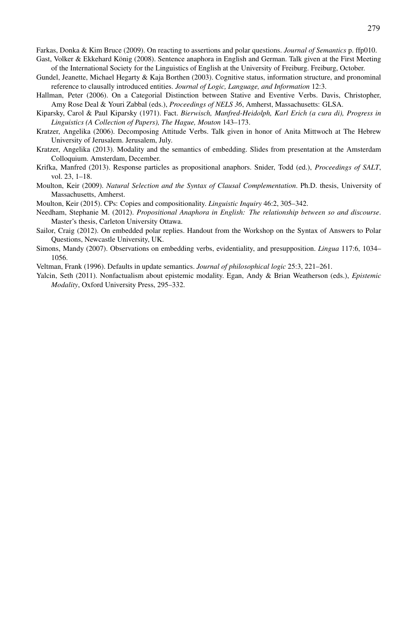Farkas, Donka & Kim Bruce (2009). On reacting to assertions and polar questions. *Journal of Semantics* p. ffp010.

- Gast, Volker & Ekkehard König (2008). Sentence anaphora in English and German. Talk given at the First Meeting of the International Society for the Linguistics of English at the University of Freiburg. Freiburg, October.
- Gundel, Jeanette, Michael Hegarty & Kaja Borthen (2003). Cognitive status, information structure, and pronominal reference to clausally introduced entities. *Journal of Logic, Language, and Information* 12:3.
- Hallman, Peter (2006). On a Categorial Distinction between Stative and Eventive Verbs. Davis, Christopher, Amy Rose Deal & Youri Zabbal (eds.), *Proceedings of NELS 36*, Amherst, Massachusetts: GLSA.
- Kiparsky, Carol & Paul Kiparsky (1971). Fact. *Bierwisch, Manfred-Heidolph, Karl Erich (a cura di), Progress in Linguistics (A Collection of Papers), The Hague, Mouton* 143–173.
- Kratzer, Angelika (2006). Decomposing Attitude Verbs. Talk given in honor of Anita Mittwoch at The Hebrew University of Jerusalem. Jerusalem, July.
- Kratzer, Angelika (2013). Modality and the semantics of embedding. Slides from presentation at the Amsterdam Colloquium. Amsterdam, December.
- Krifka, Manfred (2013). Response particles as propositional anaphors. Snider, Todd (ed.), *Proceedings of SALT*, vol. 23, 1–18.
- Moulton, Keir (2009). *Natural Selection and the Syntax of Clausal Complementation*. Ph.D. thesis, University of Massachusetts, Amherst.
- Moulton, Keir (2015). CPs: Copies and compositionality. *Linguistic Inquiry* 46:2, 305–342.
- Needham, Stephanie M. (2012). *Propositional Anaphora in English: The relationship between so and discourse*. Master's thesis, Carleton University Ottawa.
- Sailor, Craig (2012). On embedded polar replies. Handout from the Workshop on the Syntax of Answers to Polar Questions, Newcastle University, UK.
- Simons, Mandy (2007). Observations on embedding verbs, evidentiality, and presupposition. *Lingua* 117:6, 1034– 1056.
- Veltman, Frank (1996). Defaults in update semantics. *Journal of philosophical logic* 25:3, 221–261.
- Yalcin, Seth (2011). Nonfactualism about epistemic modality. Egan, Andy & Brian Weatherson (eds.), *Epistemic Modality*, Oxford University Press, 295–332.